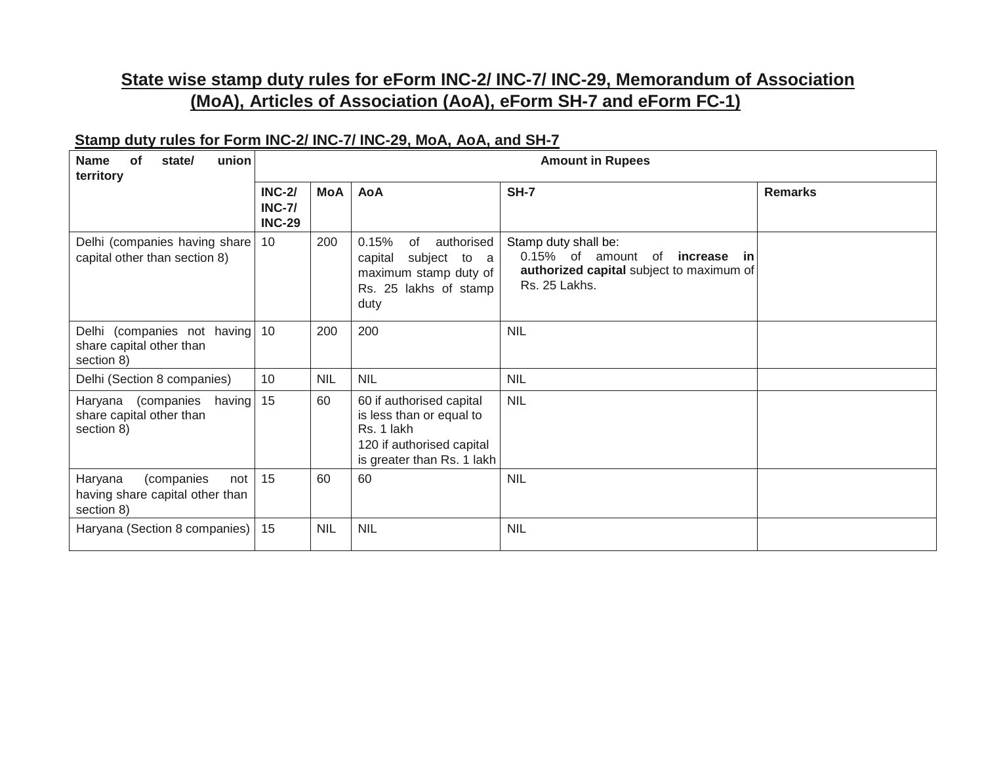## **State wise stamp duty rules for eForm INC-2/ INC-7/ INC-29, Memorandum of Association (MoA), Articles of Association (AoA), eForm SH-7 and eForm FC-1)**

## **Stamp duty rules for Form INC-2/ INC-7/ INC-29, MoA, AoA, and SH-7**

| union<br><b>Name</b><br><b>of</b><br>state/<br>territory                      | <b>Amount in Rupees</b>                         |            |                                                                                                                               |                                                                                                                                |                |
|-------------------------------------------------------------------------------|-------------------------------------------------|------------|-------------------------------------------------------------------------------------------------------------------------------|--------------------------------------------------------------------------------------------------------------------------------|----------------|
|                                                                               | <b>INC-2/</b><br><b>INC-7/</b><br><b>INC-29</b> | <b>MoA</b> | <b>AoA</b>                                                                                                                    | <b>SH-7</b>                                                                                                                    | <b>Remarks</b> |
| Delhi (companies having share)<br>capital other than section 8)               | 10                                              | 200        | 0.15%<br>of<br>authorised<br>subject to a<br>capital<br>maximum stamp duty of<br>Rs. 25 lakhs of stamp<br>duty                | Stamp duty shall be:<br>0.15% of amount<br>of<br>increase<br>- in<br>authorized capital subject to maximum of<br>Rs. 25 Lakhs. |                |
| Delhi (companies not having)<br>share capital other than<br>section 8)        | 10                                              | 200        | 200                                                                                                                           | <b>NIL</b>                                                                                                                     |                |
| Delhi (Section 8 companies)                                                   | 10                                              | <b>NIL</b> | <b>NIL</b>                                                                                                                    | <b>NIL</b>                                                                                                                     |                |
| Haryana (companies<br>having<br>share capital other than<br>section 8)        | 15                                              | 60         | 60 if authorised capital<br>is less than or equal to<br>Rs. 1 lakh<br>120 if authorised capital<br>is greater than Rs. 1 lakh | <b>NIL</b>                                                                                                                     |                |
| Haryana<br>(companies<br>not<br>having share capital other than<br>section 8) | 15                                              | 60         | 60                                                                                                                            | <b>NIL</b>                                                                                                                     |                |
| Haryana (Section 8 companies)                                                 | 15                                              | <b>NIL</b> | <b>NIL</b>                                                                                                                    | <b>NIL</b>                                                                                                                     |                |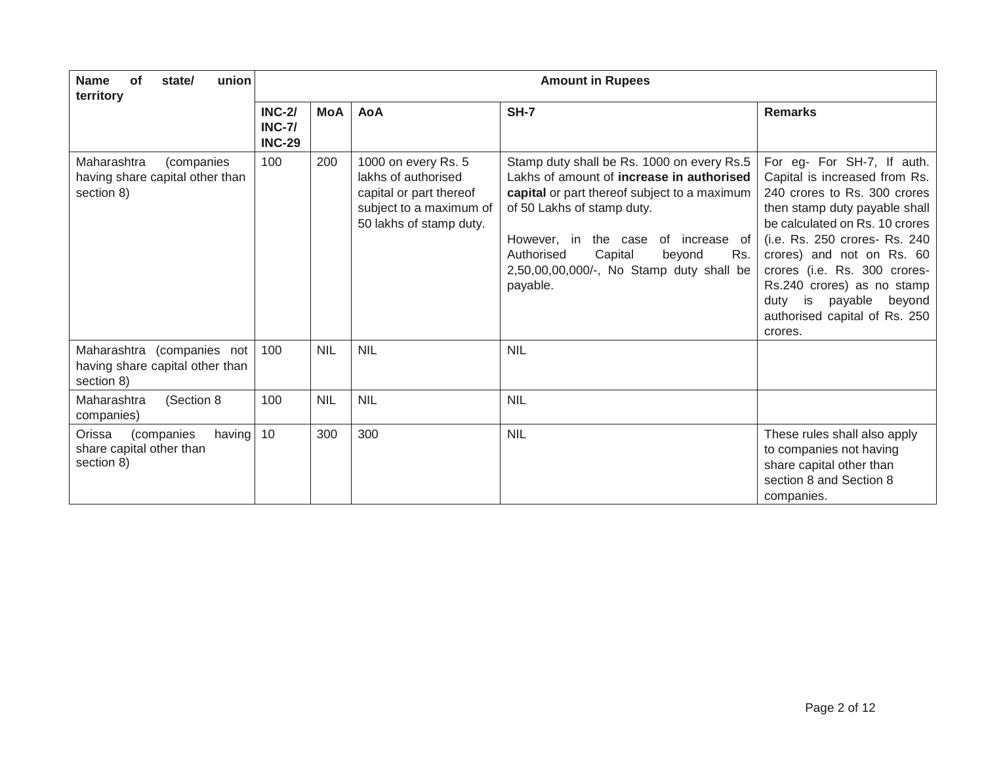| union<br>of<br><b>Name</b><br>state/<br>territory                           | <b>Amount in Rupees</b>                         |            |                                                                                                                             |                                                                                                                                                                                                                                                                                                                |                                                                                                                                                                                                                                                                                                                                                                           |
|-----------------------------------------------------------------------------|-------------------------------------------------|------------|-----------------------------------------------------------------------------------------------------------------------------|----------------------------------------------------------------------------------------------------------------------------------------------------------------------------------------------------------------------------------------------------------------------------------------------------------------|---------------------------------------------------------------------------------------------------------------------------------------------------------------------------------------------------------------------------------------------------------------------------------------------------------------------------------------------------------------------------|
|                                                                             | <b>INC-2/</b><br><b>INC-7/</b><br><b>INC-29</b> | MoA        | <b>AoA</b>                                                                                                                  | <b>SH-7</b>                                                                                                                                                                                                                                                                                                    | <b>Remarks</b>                                                                                                                                                                                                                                                                                                                                                            |
| Maharashtra<br>(companies<br>having share capital other than<br>section 8)  | 100                                             | 200        | 1000 on every Rs. 5<br>lakhs of authorised<br>capital or part thereof<br>subject to a maximum of<br>50 lakhs of stamp duty. | Stamp duty shall be Rs. 1000 on every Rs.5<br>Lakhs of amount of increase in authorised<br>capital or part thereof subject to a maximum<br>of 50 Lakhs of stamp duty.<br>However, in the case of increase of<br>Capital<br>Authorised<br>beyond<br>Rs.<br>2,50,00,00,000/-, No Stamp duty shall be<br>payable. | For eg- For SH-7, If auth.<br>Capital is increased from Rs.<br>240 crores to Rs. 300 crores<br>then stamp duty payable shall<br>be calculated on Rs. 10 crores<br>(i.e. Rs. 250 crores- Rs. 240<br>crores) and not on Rs. 60<br>crores (i.e. Rs. 300 crores-<br>Rs.240 crores) as no stamp<br>is<br>payable<br>beyond<br>duty<br>authorised capital of Rs. 250<br>crores. |
| Maharashtra (companies not<br>having share capital other than<br>section 8) | 100                                             | <b>NIL</b> | <b>NIL</b>                                                                                                                  | <b>NIL</b>                                                                                                                                                                                                                                                                                                     |                                                                                                                                                                                                                                                                                                                                                                           |
| Maharashtra<br>(Section 8<br>companies)                                     | 100                                             | <b>NIL</b> | <b>NIL</b>                                                                                                                  | <b>NIL</b>                                                                                                                                                                                                                                                                                                     |                                                                                                                                                                                                                                                                                                                                                                           |
| Orissa<br>having<br>(companies<br>share capital other than<br>section 8)    | 10                                              | 300        | 300                                                                                                                         | <b>NIL</b>                                                                                                                                                                                                                                                                                                     | These rules shall also apply<br>to companies not having<br>share capital other than<br>section 8 and Section 8<br>companies.                                                                                                                                                                                                                                              |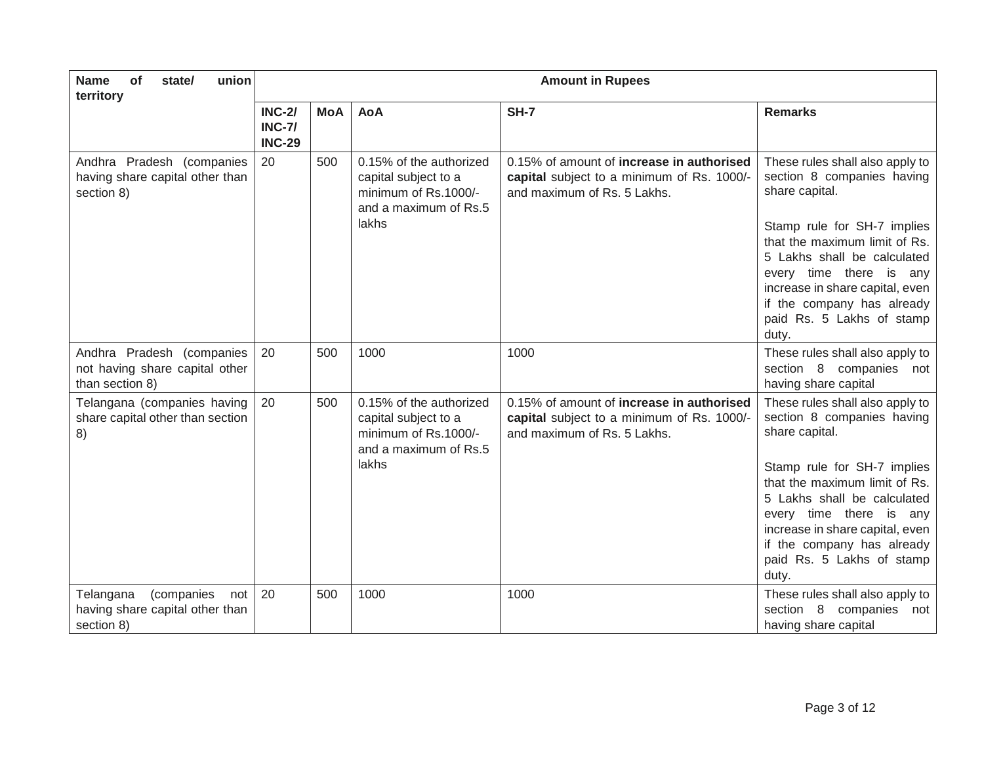| of<br>union<br><b>Name</b><br>state/<br>territory                               | <b>Amount in Rupees</b>                         |            |                                                                                                           |                                                                                                                               |                                                                                                                                                                                                                                                                                                                  |  |
|---------------------------------------------------------------------------------|-------------------------------------------------|------------|-----------------------------------------------------------------------------------------------------------|-------------------------------------------------------------------------------------------------------------------------------|------------------------------------------------------------------------------------------------------------------------------------------------------------------------------------------------------------------------------------------------------------------------------------------------------------------|--|
|                                                                                 | <b>INC-2/</b><br><b>INC-7/</b><br><b>INC-29</b> | <b>MoA</b> | <b>AoA</b>                                                                                                | SH-7                                                                                                                          | <b>Remarks</b>                                                                                                                                                                                                                                                                                                   |  |
| Andhra Pradesh (companies<br>having share capital other than<br>section 8)      | 20                                              | 500        | 0.15% of the authorized<br>capital subject to a<br>minimum of Rs.1000/-<br>and a maximum of Rs.5<br>lakhs | 0.15% of amount of <b>increase in authorised</b><br>capital subject to a minimum of Rs. 1000/-<br>and maximum of Rs. 5 Lakhs. | These rules shall also apply to<br>section 8 companies having<br>share capital.<br>Stamp rule for SH-7 implies<br>that the maximum limit of Rs.<br>5 Lakhs shall be calculated<br>every time there is any<br>increase in share capital, even<br>if the company has already<br>paid Rs. 5 Lakhs of stamp<br>duty. |  |
| Andhra Pradesh (companies<br>not having share capital other<br>than section 8)  | 20                                              | 500        | 1000                                                                                                      | 1000                                                                                                                          | These rules shall also apply to<br>section 8 companies not<br>having share capital                                                                                                                                                                                                                               |  |
| Telangana (companies having<br>share capital other than section<br>8)           | 20                                              | 500        | 0.15% of the authorized<br>capital subject to a<br>minimum of Rs.1000/-<br>and a maximum of Rs.5<br>lakhs | 0.15% of amount of increase in authorised<br>capital subject to a minimum of Rs. 1000/-<br>and maximum of Rs. 5 Lakhs.        | These rules shall also apply to<br>section 8 companies having<br>share capital.<br>Stamp rule for SH-7 implies<br>that the maximum limit of Rs.<br>5 Lakhs shall be calculated<br>every time there is any<br>increase in share capital, even<br>if the company has already<br>paid Rs. 5 Lakhs of stamp<br>duty. |  |
| (companies<br>Telangana<br>not<br>having share capital other than<br>section 8) | 20                                              | 500        | 1000                                                                                                      | 1000                                                                                                                          | These rules shall also apply to<br>section 8 companies<br>not<br>having share capital                                                                                                                                                                                                                            |  |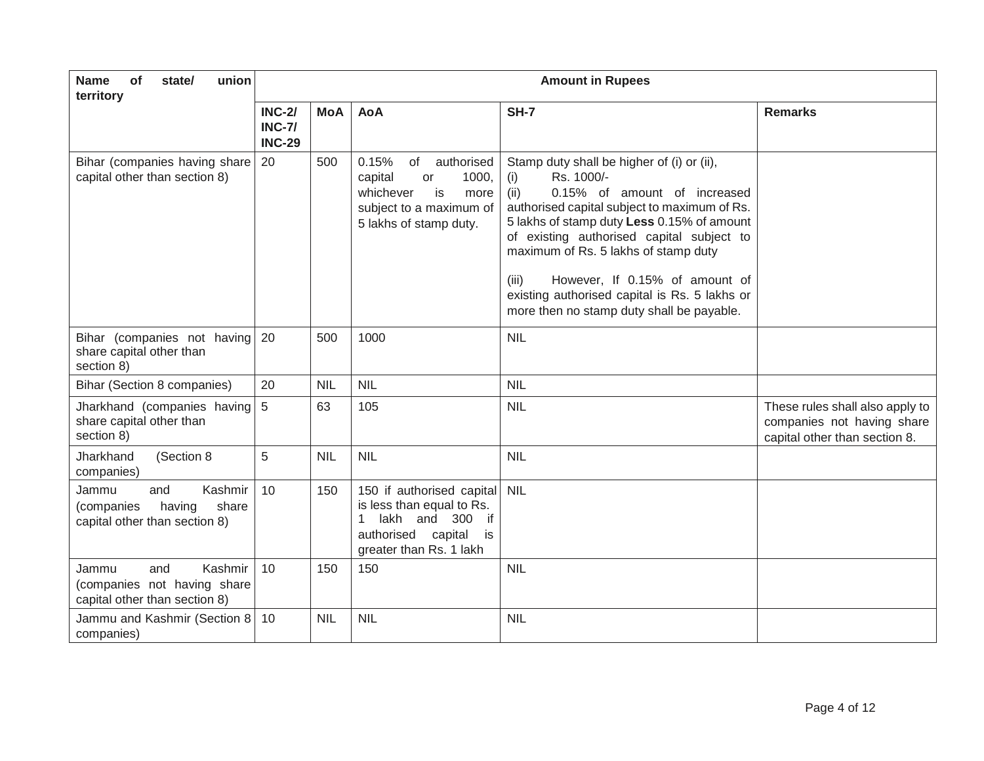| <b>Name</b><br>of<br>union<br>state/<br>territory                                         | <b>Amount in Rupees</b>                         |            |                                                                                                                                                  |                                                                                                                                                                                                                                                                                                                                                                                                                                     |                                                                                                |  |
|-------------------------------------------------------------------------------------------|-------------------------------------------------|------------|--------------------------------------------------------------------------------------------------------------------------------------------------|-------------------------------------------------------------------------------------------------------------------------------------------------------------------------------------------------------------------------------------------------------------------------------------------------------------------------------------------------------------------------------------------------------------------------------------|------------------------------------------------------------------------------------------------|--|
|                                                                                           | <b>INC-2/</b><br><b>INC-7/</b><br><b>INC-29</b> | <b>MoA</b> | <b>AoA</b>                                                                                                                                       | <b>SH-7</b>                                                                                                                                                                                                                                                                                                                                                                                                                         | <b>Remarks</b>                                                                                 |  |
| Bihar (companies having share<br>capital other than section 8)                            | 20                                              | 500        | 0.15%<br>of<br>authorised<br>1000,<br>capital<br>or<br>whichever<br>is<br>more<br>subject to a maximum of<br>5 lakhs of stamp duty.              | Stamp duty shall be higher of (i) or (ii),<br>Rs. 1000/-<br>(i)<br>(ii)<br>0.15% of amount of increased<br>authorised capital subject to maximum of Rs.<br>5 lakhs of stamp duty Less 0.15% of amount<br>of existing authorised capital subject to<br>maximum of Rs. 5 lakhs of stamp duty<br>However, If 0.15% of amount of<br>(iii)<br>existing authorised capital is Rs. 5 lakhs or<br>more then no stamp duty shall be payable. |                                                                                                |  |
| Bihar (companies not having<br>share capital other than<br>section 8)                     | 20                                              | 500        | 1000                                                                                                                                             | <b>NIL</b>                                                                                                                                                                                                                                                                                                                                                                                                                          |                                                                                                |  |
| Bihar (Section 8 companies)                                                               | 20                                              | <b>NIL</b> | <b>NIL</b>                                                                                                                                       | <b>NIL</b>                                                                                                                                                                                                                                                                                                                                                                                                                          |                                                                                                |  |
| Jharkhand (companies having<br>share capital other than<br>section 8)                     | $\sqrt{5}$                                      | 63         | 105                                                                                                                                              | <b>NIL</b>                                                                                                                                                                                                                                                                                                                                                                                                                          | These rules shall also apply to<br>companies not having share<br>capital other than section 8. |  |
| Jharkhand<br>(Section 8<br>companies)                                                     | 5                                               | <b>NIL</b> | <b>NIL</b>                                                                                                                                       | <b>NIL</b>                                                                                                                                                                                                                                                                                                                                                                                                                          |                                                                                                |  |
| Kashmir<br>Jammu<br>and<br>share<br>having<br>(companies<br>capital other than section 8) | 10                                              | 150        | 150 if authorised capital<br>is less than equal to Rs.<br>lakh and 300 if<br>$\mathbf{1}$<br>authorised capital<br>is<br>greater than Rs. 1 lakh | <b>NIL</b>                                                                                                                                                                                                                                                                                                                                                                                                                          |                                                                                                |  |
| Kashmir<br>and<br>Jammu<br>(companies not having share<br>capital other than section 8)   | 10                                              | 150        | 150                                                                                                                                              | <b>NIL</b>                                                                                                                                                                                                                                                                                                                                                                                                                          |                                                                                                |  |
| Jammu and Kashmir (Section 8<br>companies)                                                | 10                                              | <b>NIL</b> | <b>NIL</b>                                                                                                                                       | <b>NIL</b>                                                                                                                                                                                                                                                                                                                                                                                                                          |                                                                                                |  |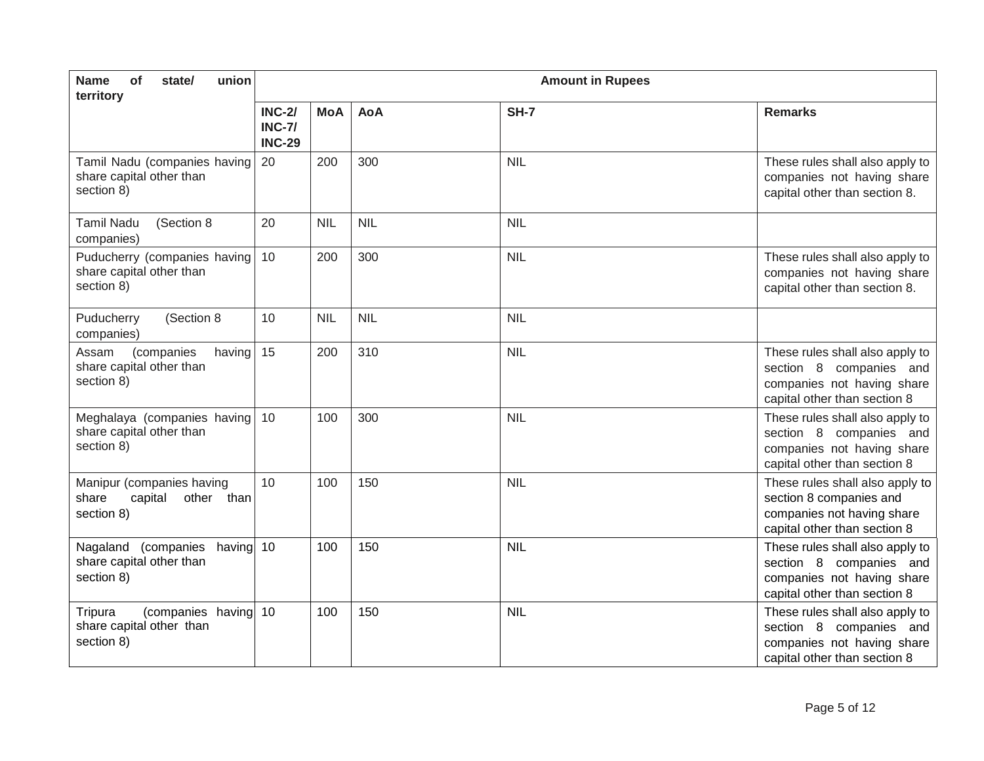| <b>Name</b><br>of<br>union<br>state/<br>territory                          | <b>Amount in Rupees</b>                         |            |            |             |                                                                                                                          |
|----------------------------------------------------------------------------|-------------------------------------------------|------------|------------|-------------|--------------------------------------------------------------------------------------------------------------------------|
|                                                                            | <b>INC-2/</b><br><b>INC-7/</b><br><b>INC-29</b> | <b>MoA</b> | <b>AoA</b> | <b>SH-7</b> | <b>Remarks</b>                                                                                                           |
| Tamil Nadu (companies having<br>share capital other than<br>section 8)     | 20                                              | 200        | 300        | <b>NIL</b>  | These rules shall also apply to<br>companies not having share<br>capital other than section 8.                           |
| (Section 8<br><b>Tamil Nadu</b><br>companies)                              | 20                                              | <b>NIL</b> | <b>NIL</b> | <b>NIL</b>  |                                                                                                                          |
| Puducherry (companies having<br>share capital other than<br>section 8)     | 10                                              | 200        | 300        | <b>NIL</b>  | These rules shall also apply to<br>companies not having share<br>capital other than section 8.                           |
| Puducherry<br>(Section 8<br>companies)                                     | 10                                              | <b>NIL</b> | <b>NIL</b> | <b>NIL</b>  |                                                                                                                          |
| (companies<br>Assam<br>having<br>share capital other than<br>section 8)    | 15                                              | 200        | 310        | <b>NIL</b>  | These rules shall also apply to<br>section 8 companies and<br>companies not having share<br>capital other than section 8 |
| Meghalaya (companies having<br>share capital other than<br>section 8)      | 10                                              | 100        | 300        | <b>NIL</b>  | These rules shall also apply to<br>section 8 companies and<br>companies not having share<br>capital other than section 8 |
| Manipur (companies having<br>capital<br>share<br>other than<br>section 8)  | 10                                              | 100        | 150        | <b>NIL</b>  | These rules shall also apply to<br>section 8 companies and<br>companies not having share<br>capital other than section 8 |
| having 10<br>Nagaland (companies<br>share capital other than<br>section 8) |                                                 | 100        | 150        | <b>NIL</b>  | These rules shall also apply to<br>section 8 companies and<br>companies not having share<br>capital other than section 8 |
| (companies having 10<br>Tripura<br>share capital other than<br>section 8)  |                                                 | 100        | 150        | <b>NIL</b>  | These rules shall also apply to<br>section 8 companies and<br>companies not having share<br>capital other than section 8 |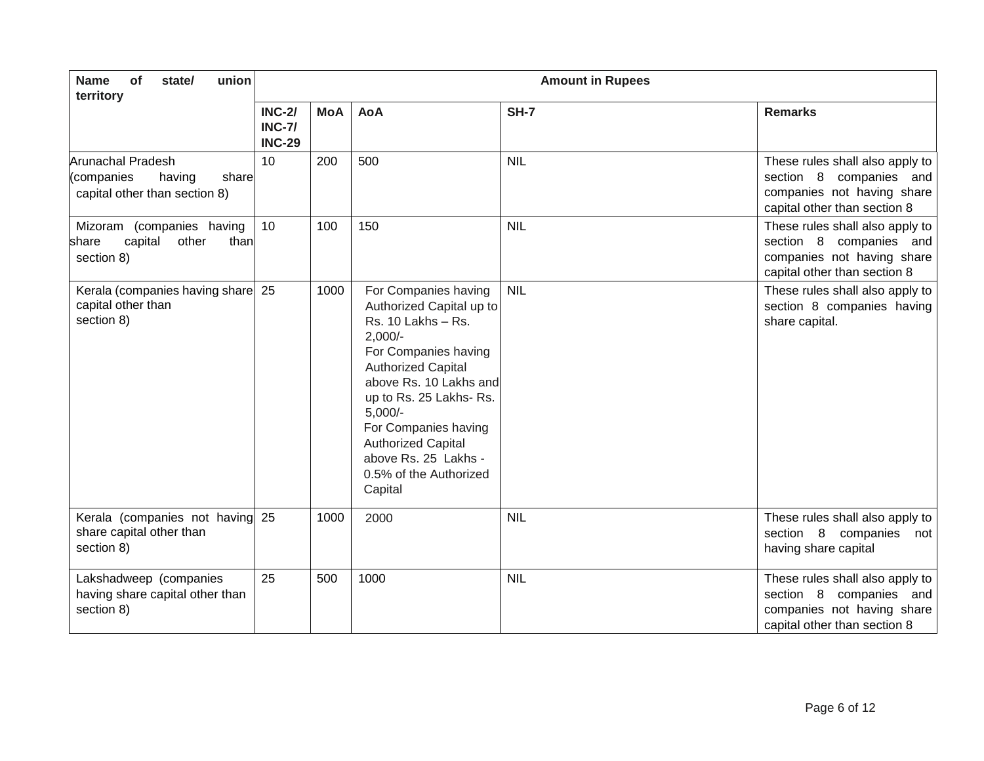| <b>Name</b><br>of<br>union<br>state/<br>territory                                          | <b>Amount in Rupees</b>                    |            |                                                                                                                                                                                                                                                                                                                              |             |                                                                                                                             |
|--------------------------------------------------------------------------------------------|--------------------------------------------|------------|------------------------------------------------------------------------------------------------------------------------------------------------------------------------------------------------------------------------------------------------------------------------------------------------------------------------------|-------------|-----------------------------------------------------------------------------------------------------------------------------|
|                                                                                            | <b>INC-2/</b><br>$INC-7/$<br><b>INC-29</b> | <b>MoA</b> | <b>AoA</b>                                                                                                                                                                                                                                                                                                                   | <b>SH-7</b> | <b>Remarks</b>                                                                                                              |
| <b>Arunachal Pradesh</b><br>(companies<br>having<br>share<br>capital other than section 8) | 10                                         | 200        | 500                                                                                                                                                                                                                                                                                                                          | <b>NIL</b>  | These rules shall also apply to<br>section 8 companies<br>and<br>companies not having share<br>capital other than section 8 |
| Mizoram (companies having<br>capital<br>other<br>than<br>share<br>section 8)               | 10                                         | 100        | 150                                                                                                                                                                                                                                                                                                                          | <b>NIL</b>  | These rules shall also apply to<br>section 8 companies and<br>companies not having share<br>capital other than section 8    |
| Kerala (companies having share 25<br>capital other than<br>section 8)                      |                                            | 1000       | For Companies having<br>Authorized Capital up to<br>Rs. 10 Lakhs - Rs.<br>$2,000/-$<br>For Companies having<br><b>Authorized Capital</b><br>above Rs. 10 Lakhs and<br>up to Rs. 25 Lakhs- Rs.<br>$5,000/-$<br>For Companies having<br><b>Authorized Capital</b><br>above Rs. 25 Lakhs -<br>0.5% of the Authorized<br>Capital | <b>NIL</b>  | These rules shall also apply to<br>section 8 companies having<br>share capital.                                             |
| Kerala (companies not having 25<br>share capital other than<br>section 8)                  |                                            | 1000       | 2000                                                                                                                                                                                                                                                                                                                         | <b>NIL</b>  | These rules shall also apply to<br>section 8 companies<br>not<br>having share capital                                       |
| Lakshadweep (companies<br>having share capital other than<br>section 8)                    | 25                                         | 500        | 1000                                                                                                                                                                                                                                                                                                                         | <b>NIL</b>  | These rules shall also apply to<br>section 8 companies and<br>companies not having share<br>capital other than section 8    |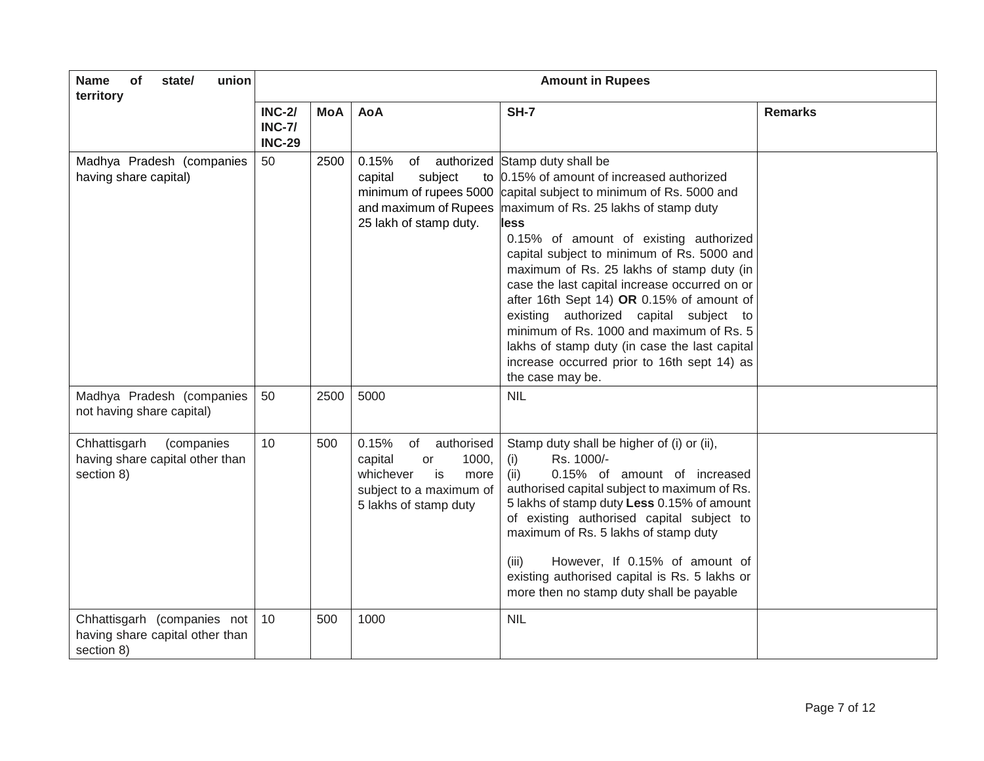| union<br><b>Name</b><br>of<br>state/<br>territory                            | <b>Amount in Rupees</b>                         |            |                                                                                                                                    |                                                                                                                                                                                                                                                                                                                                                                                                                                                                                                                                                                                                                             |                |  |
|------------------------------------------------------------------------------|-------------------------------------------------|------------|------------------------------------------------------------------------------------------------------------------------------------|-----------------------------------------------------------------------------------------------------------------------------------------------------------------------------------------------------------------------------------------------------------------------------------------------------------------------------------------------------------------------------------------------------------------------------------------------------------------------------------------------------------------------------------------------------------------------------------------------------------------------------|----------------|--|
|                                                                              | <b>INC-2/</b><br><b>INC-7/</b><br><b>INC-29</b> | <b>MoA</b> | <b>AoA</b>                                                                                                                         | SH-7                                                                                                                                                                                                                                                                                                                                                                                                                                                                                                                                                                                                                        | <b>Remarks</b> |  |
| Madhya Pradesh (companies<br>having share capital)                           | 50                                              | 2500       | 0.15%<br>subject<br>capital<br>minimum of rupees 5000<br>and maximum of Rupees<br>25 lakh of stamp duty.                           | of authorized Stamp duty shall be<br>to 0.15% of amount of increased authorized<br>capital subject to minimum of Rs. 5000 and<br>maximum of Rs. 25 lakhs of stamp duty<br>less<br>0.15% of amount of existing authorized<br>capital subject to minimum of Rs. 5000 and<br>maximum of Rs. 25 lakhs of stamp duty (in<br>case the last capital increase occurred on or<br>after 16th Sept 14) OR 0.15% of amount of<br>existing authorized capital subject to<br>minimum of Rs. 1000 and maximum of Rs. 5<br>lakhs of stamp duty (in case the last capital<br>increase occurred prior to 16th sept 14) as<br>the case may be. |                |  |
| Madhya Pradesh (companies<br>not having share capital)                       | 50                                              | 2500       | 5000                                                                                                                               | <b>NIL</b>                                                                                                                                                                                                                                                                                                                                                                                                                                                                                                                                                                                                                  |                |  |
| (companies<br>Chhattisgarh<br>having share capital other than<br>section 8)  | 10 <sup>1</sup>                                 | 500        | 0.15%<br>of<br>authorised<br>capital<br>1000,<br>or<br>whichever<br>is<br>more<br>subject to a maximum of<br>5 lakhs of stamp duty | Stamp duty shall be higher of (i) or (ii),<br>Rs. 1000/-<br>(i)<br>0.15% of amount of increased<br>(ii)<br>authorised capital subject to maximum of Rs.<br>5 lakhs of stamp duty Less 0.15% of amount<br>of existing authorised capital subject to<br>maximum of Rs. 5 lakhs of stamp duty<br>(iii)<br>However, If 0.15% of amount of<br>existing authorised capital is Rs. 5 lakhs or<br>more then no stamp duty shall be payable                                                                                                                                                                                          |                |  |
| Chhattisgarh (companies not<br>having share capital other than<br>section 8) | 10                                              | 500        | 1000                                                                                                                               | <b>NIL</b>                                                                                                                                                                                                                                                                                                                                                                                                                                                                                                                                                                                                                  |                |  |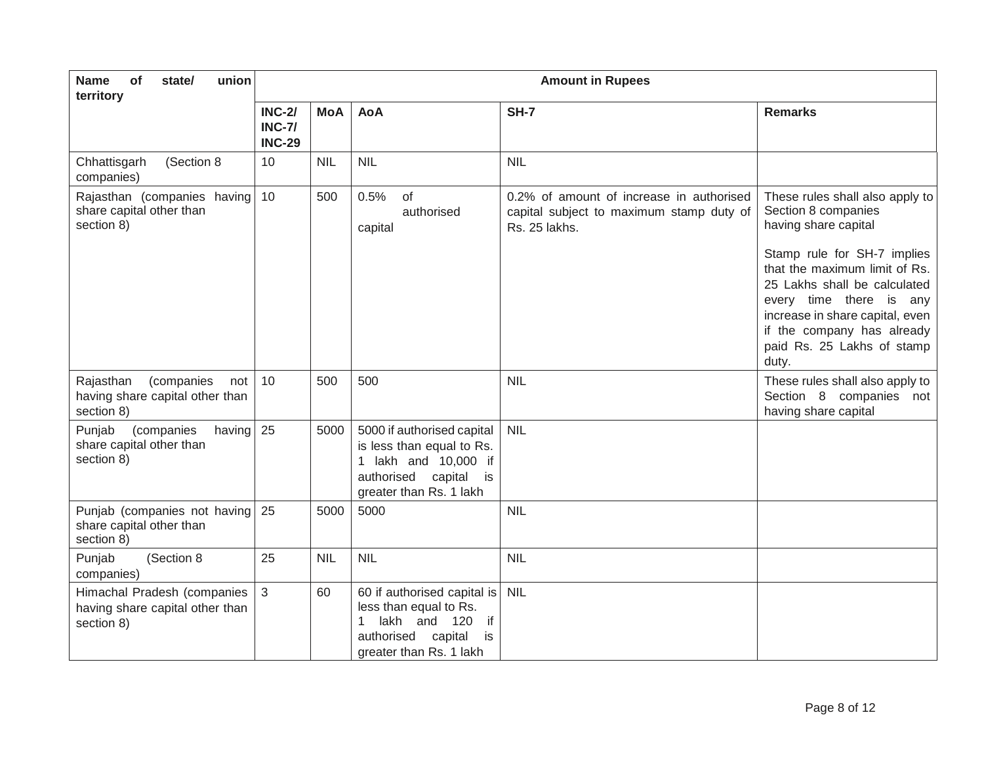| of<br>union<br><b>Name</b><br>state/<br>territory                               | <b>Amount in Rupees</b>                         |            |                                                                                                                                               |                                                                                                       |                                                                                                                                                                                                                                                                                                                   |
|---------------------------------------------------------------------------------|-------------------------------------------------|------------|-----------------------------------------------------------------------------------------------------------------------------------------------|-------------------------------------------------------------------------------------------------------|-------------------------------------------------------------------------------------------------------------------------------------------------------------------------------------------------------------------------------------------------------------------------------------------------------------------|
|                                                                                 | <b>INC-2/</b><br><b>INC-7/</b><br><b>INC-29</b> | <b>MoA</b> | <b>AoA</b>                                                                                                                                    | <b>SH-7</b>                                                                                           | <b>Remarks</b>                                                                                                                                                                                                                                                                                                    |
| (Section 8<br>Chhattisgarh<br>companies)                                        | 10                                              | <b>NIL</b> | <b>NIL</b>                                                                                                                                    | <b>NIL</b>                                                                                            |                                                                                                                                                                                                                                                                                                                   |
| Rajasthan (companies having<br>share capital other than<br>section 8)           | 10                                              | 500        | 0.5%<br>of<br>authorised<br>capital                                                                                                           | 0.2% of amount of increase in authorised<br>capital subject to maximum stamp duty of<br>Rs. 25 lakhs. | These rules shall also apply to<br>Section 8 companies<br>having share capital<br>Stamp rule for SH-7 implies<br>that the maximum limit of Rs.<br>25 Lakhs shall be calculated<br>every time there is any<br>increase in share capital, even<br>if the company has already<br>paid Rs. 25 Lakhs of stamp<br>duty. |
| (companies<br>Rajasthan<br>not<br>having share capital other than<br>section 8) | 10                                              | 500        | 500                                                                                                                                           | <b>NIL</b>                                                                                            | These rules shall also apply to<br>Section 8 companies not<br>having share capital                                                                                                                                                                                                                                |
| Punjab<br>(companies<br>having<br>share capital other than<br>section 8)        | 25                                              | 5000       | 5000 if authorised capital<br>is less than equal to Rs.<br>1 lakh and 10,000 if<br>authorised<br>capital<br>is is<br>greater than Rs. 1 lakh  | <b>NIL</b>                                                                                            |                                                                                                                                                                                                                                                                                                                   |
| Punjab (companies not having<br>share capital other than<br>section 8)          | 25                                              | 5000       | 5000                                                                                                                                          | <b>NIL</b>                                                                                            |                                                                                                                                                                                                                                                                                                                   |
| Punjab<br>(Section 8<br>companies)                                              | 25                                              | <b>NIL</b> | <b>NIL</b>                                                                                                                                    | <b>NIL</b>                                                                                            |                                                                                                                                                                                                                                                                                                                   |
| Himachal Pradesh (companies<br>having share capital other than<br>section 8)    | $\mathbf{3}$                                    | 60         | 60 if authorised capital is<br>less than equal to Rs.<br>lakh and<br>120<br>if<br>1<br>authorised<br>capital<br>is<br>greater than Rs. 1 lakh | <b>NIL</b>                                                                                            |                                                                                                                                                                                                                                                                                                                   |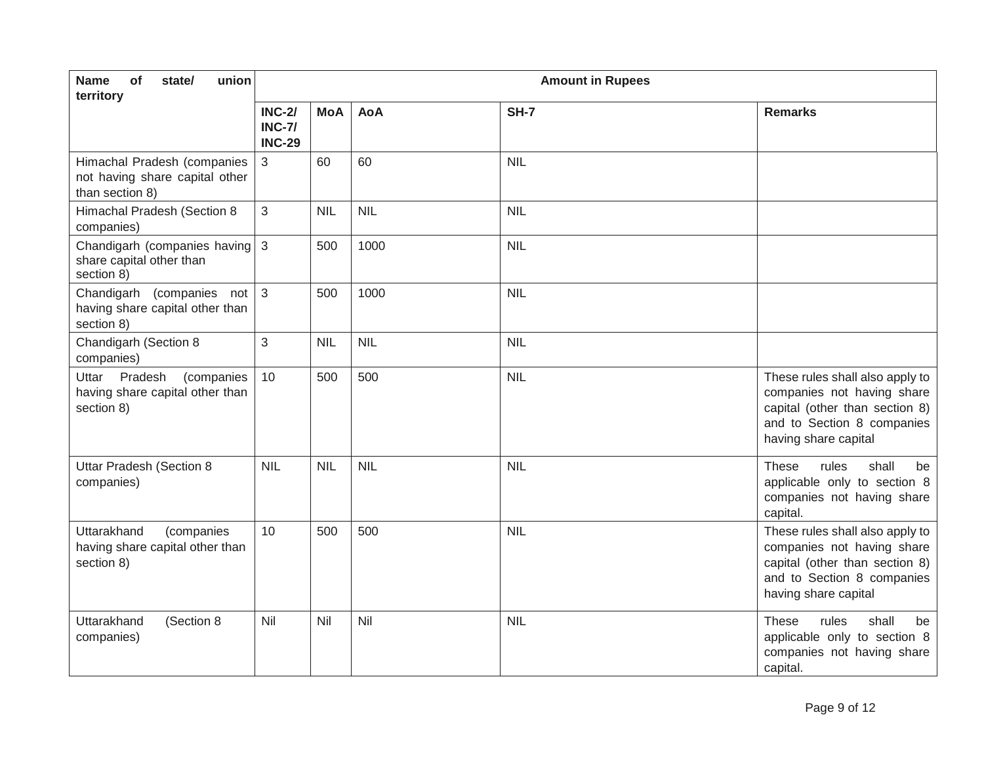| union<br><b>Name</b><br>of<br>state/<br>territory                                | <b>Amount in Rupees</b>                         |            |            |             |                                                                                                                                                       |
|----------------------------------------------------------------------------------|-------------------------------------------------|------------|------------|-------------|-------------------------------------------------------------------------------------------------------------------------------------------------------|
|                                                                                  | <b>INC-2/</b><br><b>INC-7/</b><br><b>INC-29</b> | <b>MoA</b> | <b>AoA</b> | <b>SH-7</b> | <b>Remarks</b>                                                                                                                                        |
| Himachal Pradesh (companies<br>not having share capital other<br>than section 8) | 3                                               | 60         | 60         | <b>NIL</b>  |                                                                                                                                                       |
| Himachal Pradesh (Section 8<br>companies)                                        | 3                                               | <b>NIL</b> | <b>NIL</b> | <b>NIL</b>  |                                                                                                                                                       |
| Chandigarh (companies having<br>share capital other than<br>section 8)           | $\mathbf{3}$                                    | 500        | 1000       | <b>NIL</b>  |                                                                                                                                                       |
| Chandigarh (companies<br>not<br>having share capital other than<br>section 8)    | $\mathbf{3}$                                    | 500        | 1000       | <b>NIL</b>  |                                                                                                                                                       |
| Chandigarh (Section 8<br>companies)                                              | 3                                               | <b>NIL</b> | <b>NIL</b> | <b>NIL</b>  |                                                                                                                                                       |
| Pradesh<br>Uttar<br>(companies<br>having share capital other than<br>section 8)  | 10                                              | 500        | 500        | <b>NIL</b>  | These rules shall also apply to<br>companies not having share<br>capital (other than section 8)<br>and to Section 8 companies<br>having share capital |
| <b>Uttar Pradesh (Section 8</b><br>companies)                                    | <b>NIL</b>                                      | <b>NIL</b> | <b>NIL</b> | <b>NIL</b>  | rules<br>shall<br><b>These</b><br>be<br>applicable only to section 8<br>companies not having share<br>capital.                                        |
| Uttarakhand<br>(companies<br>having share capital other than<br>section 8)       | 10                                              | 500        | 500        | <b>NIL</b>  | These rules shall also apply to<br>companies not having share<br>capital (other than section 8)<br>and to Section 8 companies<br>having share capital |
| Uttarakhand<br>(Section 8<br>companies)                                          | Nil                                             | Nil        | Nil        | <b>NIL</b>  | rules<br>shall<br><b>These</b><br>be<br>applicable only to section 8<br>companies not having share<br>capital.                                        |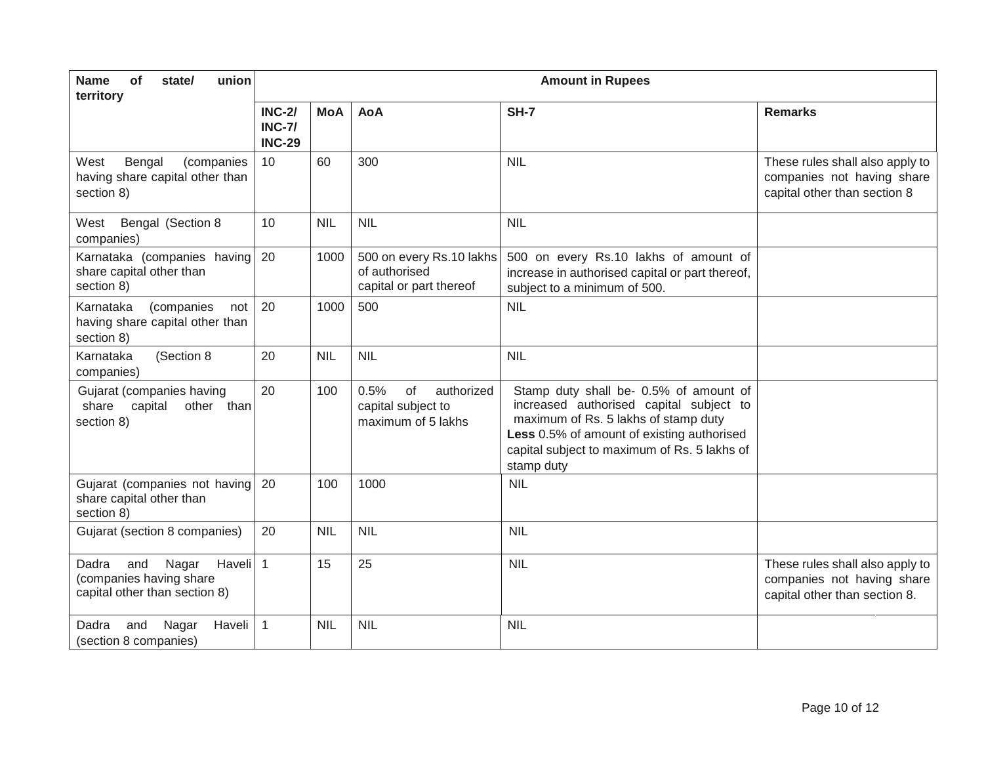| <b>Name</b><br>of<br>union<br>state/<br>territory                                                        | <b>Amount in Rupees</b>                         |            |                                                                      |                                                                                                                                                                                                                                       |                                                                                                |
|----------------------------------------------------------------------------------------------------------|-------------------------------------------------|------------|----------------------------------------------------------------------|---------------------------------------------------------------------------------------------------------------------------------------------------------------------------------------------------------------------------------------|------------------------------------------------------------------------------------------------|
|                                                                                                          | <b>INC-2/</b><br><b>INC-7/</b><br><b>INC-29</b> | <b>MoA</b> | <b>AoA</b>                                                           | <b>SH-7</b>                                                                                                                                                                                                                           | <b>Remarks</b>                                                                                 |
| Bengal<br>West<br>(companies<br>having share capital other than<br>section 8)                            | 10                                              | 60         | 300                                                                  | <b>NIL</b>                                                                                                                                                                                                                            | These rules shall also apply to<br>companies not having share<br>capital other than section 8  |
| Bengal (Section 8<br>West<br>companies)                                                                  | 10                                              | <b>NIL</b> | <b>NIL</b>                                                           | <b>NIL</b>                                                                                                                                                                                                                            |                                                                                                |
| Karnataka (companies having<br>share capital other than<br>section 8)                                    | 20                                              | 1000       | 500 on every Rs.10 lakhs<br>of authorised<br>capital or part thereof | 500 on every Rs.10 lakhs of amount of<br>increase in authorised capital or part thereof,<br>subject to a minimum of 500.                                                                                                              |                                                                                                |
| Karnataka<br>(companies<br>not<br>having share capital other than<br>section 8)                          | 20                                              | 1000       | 500                                                                  | <b>NIL</b>                                                                                                                                                                                                                            |                                                                                                |
| (Section 8<br>Karnataka<br>companies)                                                                    | 20                                              | <b>NIL</b> | <b>NIL</b>                                                           | <b>NIL</b>                                                                                                                                                                                                                            |                                                                                                |
| Gujarat (companies having<br>capital<br>other than<br>share<br>section 8)                                | 20                                              | 100        | 0.5%<br>of<br>authorized<br>capital subject to<br>maximum of 5 lakhs | Stamp duty shall be- 0.5% of amount of<br>increased authorised capital subject to<br>maximum of Rs. 5 lakhs of stamp duty<br>Less 0.5% of amount of existing authorised<br>capital subject to maximum of Rs. 5 lakhs of<br>stamp duty |                                                                                                |
| Gujarat (companies not having<br>share capital other than<br>section 8)                                  | 20                                              | 100        | 1000                                                                 | <b>NIL</b>                                                                                                                                                                                                                            |                                                                                                |
| Gujarat (section 8 companies)                                                                            | 20                                              | <b>NIL</b> | <b>NIL</b>                                                           | <b>NIL</b>                                                                                                                                                                                                                            |                                                                                                |
| Haveli <sup>1</sup><br>Dadra<br>and<br>Nagar<br>(companies having share<br>capital other than section 8) |                                                 | 15         | 25                                                                   | <b>NIL</b>                                                                                                                                                                                                                            | These rules shall also apply to<br>companies not having share<br>capital other than section 8. |
| Dadra<br>and<br>Nagar<br>Haveli<br>(section 8 companies)                                                 | 1                                               | <b>NIL</b> | <b>NIL</b>                                                           | <b>NIL</b>                                                                                                                                                                                                                            |                                                                                                |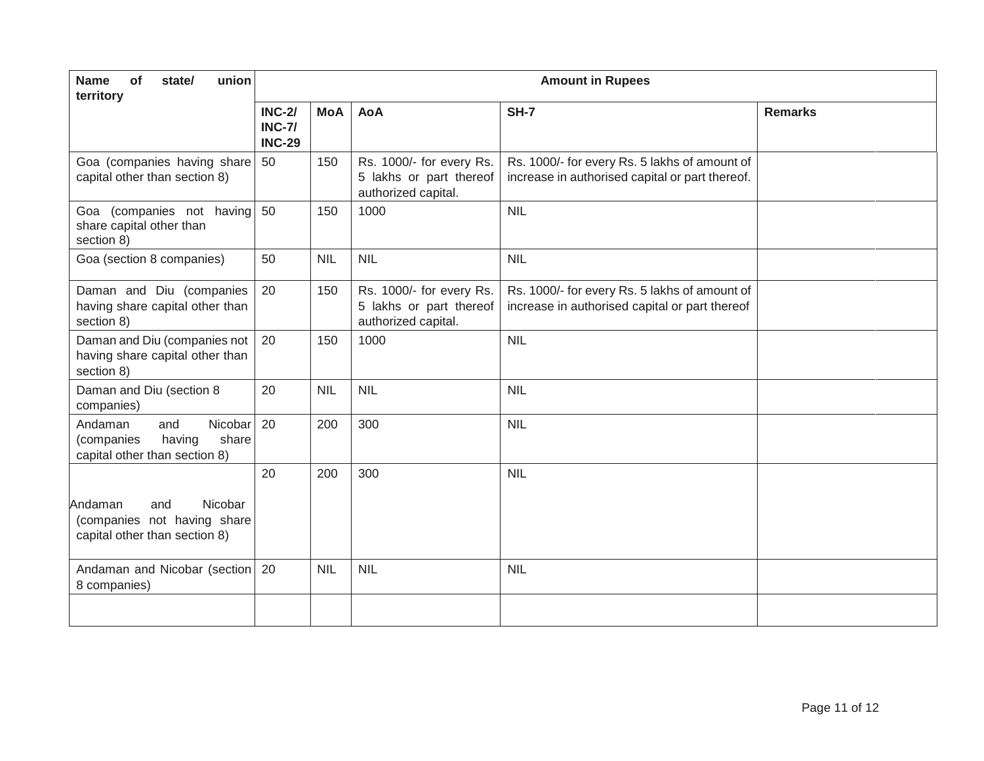| <b>Name</b><br>of<br>union<br>state/<br>territory                                           | <b>Amount in Rupees</b>                         |            |                                                                            |                                                                                                  |                |
|---------------------------------------------------------------------------------------------|-------------------------------------------------|------------|----------------------------------------------------------------------------|--------------------------------------------------------------------------------------------------|----------------|
|                                                                                             | <b>INC-2/</b><br><b>INC-7/</b><br><b>INC-29</b> | <b>MoA</b> | <b>AoA</b>                                                                 | <b>SH-7</b>                                                                                      | <b>Remarks</b> |
| Goa (companies having share<br>capital other than section 8)                                | 50                                              | 150        | Rs. 1000/- for every Rs.<br>5 lakhs or part thereof<br>authorized capital. | Rs. 1000/- for every Rs. 5 lakhs of amount of<br>increase in authorised capital or part thereof. |                |
| Goa (companies not having<br>share capital other than<br>section 8)                         | 50                                              | 150        | 1000                                                                       | <b>NIL</b>                                                                                       |                |
| Goa (section 8 companies)                                                                   | 50                                              | <b>NIL</b> | <b>NIL</b>                                                                 | <b>NIL</b>                                                                                       |                |
| Daman and Diu (companies<br>having share capital other than<br>section 8)                   | 20                                              | 150        | Rs. 1000/- for every Rs.<br>5 lakhs or part thereof<br>authorized capital. | Rs. 1000/- for every Rs. 5 lakhs of amount of<br>increase in authorised capital or part thereof  |                |
| Daman and Diu (companies not<br>having share capital other than<br>section 8)               | 20                                              | 150        | 1000                                                                       | <b>NIL</b>                                                                                       |                |
| Daman and Diu (section 8<br>companies)                                                      | 20                                              | <b>NIL</b> | <b>NIL</b>                                                                 | <b>NIL</b>                                                                                       |                |
| Nicobar<br>Andaman<br>and<br>share<br>(companies<br>having<br>capital other than section 8) | 20                                              | 200        | 300                                                                        | <b>NIL</b>                                                                                       |                |
|                                                                                             | 20                                              | 200        | 300                                                                        | <b>NIL</b>                                                                                       |                |
| Nicobar<br>Andaman<br>and<br>(companies not having share<br>capital other than section 8)   |                                                 |            |                                                                            |                                                                                                  |                |
| Andaman and Nicobar (section<br>8 companies)                                                | 20                                              | <b>NIL</b> | <b>NIL</b>                                                                 | <b>NIL</b>                                                                                       |                |
|                                                                                             |                                                 |            |                                                                            |                                                                                                  |                |